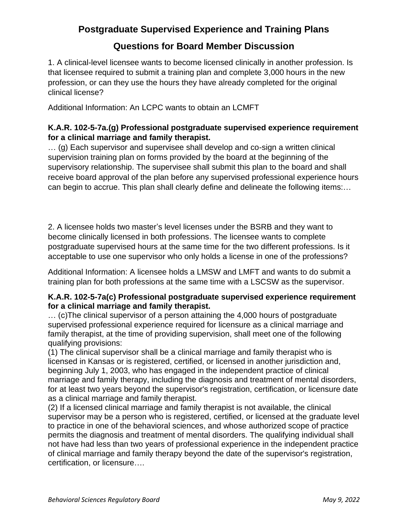# **Postgraduate Supervised Experience and Training Plans**

# **Questions for Board Member Discussion**

1. A clinical-level licensee wants to become licensed clinically in another profession. Is that licensee required to submit a training plan and complete 3,000 hours in the new profession, or can they use the hours they have already completed for the original clinical license?

Additional Information: An LCPC wants to obtain an LCMFT

## **K.A.R. 102-5-7a.(g) Professional postgraduate supervised experience requirement for a clinical marriage and family therapist.**

… (g) Each supervisor and supervisee shall develop and co-sign a written clinical supervision training plan on forms provided by the board at the beginning of the supervisory relationship. The supervisee shall submit this plan to the board and shall receive board approval of the plan before any supervised professional experience hours can begin to accrue. This plan shall clearly define and delineate the following items:…

2. A licensee holds two master's level licenses under the BSRB and they want to become clinically licensed in both professions. The licensee wants to complete postgraduate supervised hours at the same time for the two different professions. Is it acceptable to use one supervisor who only holds a license in one of the professions?

Additional Information: A licensee holds a LMSW and LMFT and wants to do submit a training plan for both professions at the same time with a LSCSW as the supervisor.

#### **K.A.R. 102-5-7a(c) Professional postgraduate supervised experience requirement for a clinical marriage and family therapist.**

… (c)The clinical supervisor of a person attaining the 4,000 hours of postgraduate supervised professional experience required for licensure as a clinical marriage and family therapist, at the time of providing supervision, shall meet one of the following qualifying provisions:

(1) The clinical supervisor shall be a clinical marriage and family therapist who is licensed in Kansas or is registered, certified, or licensed in another jurisdiction and, beginning July 1, 2003, who has engaged in the independent practice of clinical marriage and family therapy, including the diagnosis and treatment of mental disorders, for at least two years beyond the supervisor's registration, certification, or licensure date as a clinical marriage and family therapist.

(2) If a licensed clinical marriage and family therapist is not available, the clinical supervisor may be a person who is registered, certified, or licensed at the graduate level to practice in one of the behavioral sciences, and whose authorized scope of practice permits the diagnosis and treatment of mental disorders. The qualifying individual shall not have had less than two years of professional experience in the independent practice of clinical marriage and family therapy beyond the date of the supervisor's registration, certification, or licensure….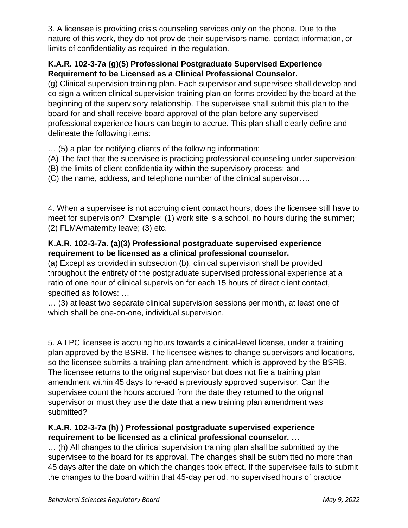3. A licensee is providing crisis counseling services only on the phone. Due to the nature of this work, they do not provide their supervisors name, contact information, or limits of confidentiality as required in the regulation.

## **K.A.R. 102-3-7a (g)(5) Professional Postgraduate Supervised Experience Requirement to be Licensed as a Clinical Professional Counselor.**

(g) Clinical supervision training plan. Each supervisor and supervisee shall develop and co-sign a written clinical supervision training plan on forms provided by the board at the beginning of the supervisory relationship. The supervisee shall submit this plan to the board for and shall receive board approval of the plan before any supervised professional experience hours can begin to accrue. This plan shall clearly define and delineate the following items:

… (5) a plan for notifying clients of the following information:

(A) The fact that the supervisee is practicing professional counseling under supervision;

(B) the limits of client confidentiality within the supervisory process; and

(C) the name, address, and telephone number of the clinical supervisor….

4. When a supervisee is not accruing client contact hours, does the licensee still have to meet for supervision? Example: (1) work site is a school, no hours during the summer; (2) FLMA/maternity leave; (3) etc.

## **K.A.R. 102-3-7a. (a)(3) Professional postgraduate supervised experience requirement to be licensed as a clinical professional counselor.**

(a) Except as provided in subsection (b), clinical supervision shall be provided throughout the entirety of the postgraduate supervised professional experience at a ratio of one hour of clinical supervision for each 15 hours of direct client contact, specified as follows: …

… (3) at least two separate clinical supervision sessions per month, at least one of which shall be one-on-one, individual supervision.

5. A LPC licensee is accruing hours towards a clinical-level license, under a training plan approved by the BSRB. The licensee wishes to change supervisors and locations, so the licensee submits a training plan amendment, which is approved by the BSRB. The licensee returns to the original supervisor but does not file a training plan amendment within 45 days to re-add a previously approved supervisor. Can the supervisee count the hours accrued from the date they returned to the original supervisor or must they use the date that a new training plan amendment was submitted?

### **K.A.R. 102-3-7a (h) ) Professional postgraduate supervised experience requirement to be licensed as a clinical professional counselor. …**

… (h) All changes to the clinical supervision training plan shall be submitted by the supervisee to the board for its approval. The changes shall be submitted no more than 45 days after the date on which the changes took effect. If the supervisee fails to submit the changes to the board within that 45-day period, no supervised hours of practice